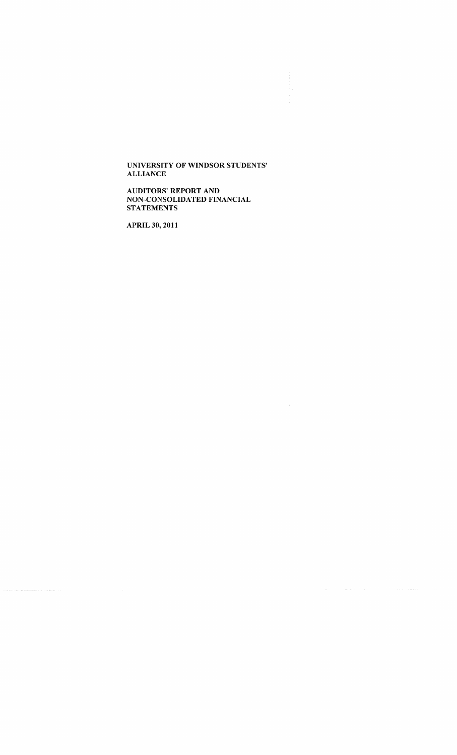AUDITORS' REPORT AND NON-CONSOLIDATED FINANCIAL **STATEMENTS** 

APRIL 30, 2011

 $\frac{1}{2}$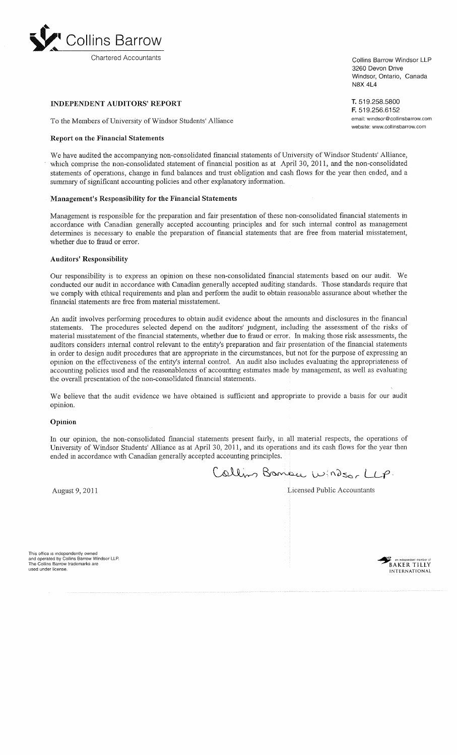

**INDEPENDENT AUDITORS' REPORT**

To the Members of University of Windsor Students' Alliance

#### **Report on the Financial Statements**

We have audited the accompanying non-consolidated financial statements of University of Windsor Students' Alliance, which comprise the non-consolidated statement of financial position as at April 30, 2011, and the non-consolidated statements of operations, change in fund balances and trust obligation and cash flows for the year then ended, and a summary of significant accounting policies and other explanatory information.

#### **Management's Responsibility for the Financial Statements**

Management is responsible for the preparation and fair presentation of these non-consolidated financial statements in accordance with Canadian generally accepted accounting principles and for such internal control as management determines is necessary to enable the preparation of financial statements that are free from material misstatement, whether due to fraud or error.

#### **Auditors' Responsibility**

Our responsibility is to express an opinion on these non-consolidated financial statements based on our audit. We conducted our audit in accordance with Canadian generally accepted auditing standards. Those standards require that we comply with ethical requirements and plan and perform the audit to obtain reasonable assurance abont whether the financial statements are free from material misstatement.

An audit involves performing procedures to obtain audit ewdence about the amounts and disclosures m the financial statements. The procedures selected depend on the auditors' judgment, including the assessment of the risks of material misstatement of the financial statements, whether due to fraud or error. In making those risk assessments, the auditors considers internal control relevant to the entity's preparation and fair presentation of the financial statements in order to design audit procedures that are appropriate in the circumstances, but not for the purpose of expressing **an** opinion on the effectiveness of the entity's internal control. An audit also mcludes evaluating the appropriateness of accounting policies used and the reasonableness of accounting estimates made by management, as well as evaluating the overall presentation of the non-consolidated financial statements.

We believe that the audit evidence we have obtained is sufficient and appropriate to provide a basis for our audit opinion.

#### **Opinion**

In our opinion, the non-consolidated financial statements present fairly, in all material respects, the operations of University of Windsor Students' Alliance as at April 30, 2011, and its operations and its cash flows for the year then ended in accordance with Canadian generally accepted accounting principles.

Collins Bancu Windsor LLP.

August 9, 2011 2011 2012 12:30 12:30 12:30 12:30 12:30 12:30 12:30 12:30 12:30 12:30 12:30 12:30 12:30 12:30 12:30 12:30 12:30 12:30 12:30 12:30 12:30 12:30 12:30 12:30 12:30 12:30 12:30 12:30 12:30 12:30 12:30 12:30 12:30

This office is independently owned **and operated by Collins** Barrow Windsor LLP. The Collins Barrow trademarks are used under **license.**



3260 Devon Drive Windsor, Ontario, Canada N8X 4L4

T. 519.258.5800 F. 519.256.6152 email: windsor @ collinsbarrow.com website: www.collinsbarrow.com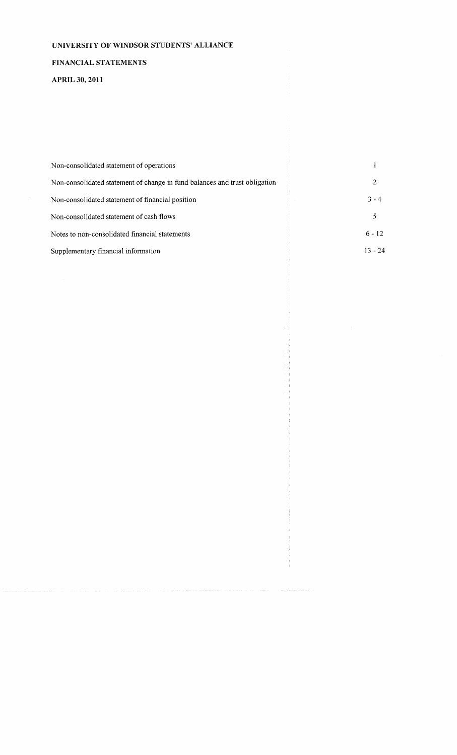# FINANCIAL STATEMENTS

APRIL **30, 2011**

 $\bar{z}$ 

| Non-consolidated statement of operations                                   |           |
|----------------------------------------------------------------------------|-----------|
| Non-consolidated statement of change in fund balances and trust obligation | 2         |
| Non-consolidated statement of financial position                           | $3 - 4$   |
| Non-consolidated statement of cash flows                                   |           |
| Notes to non-consolidated financial statements                             | $6 - 12$  |
| Supplementary financial information                                        | $13 - 24$ |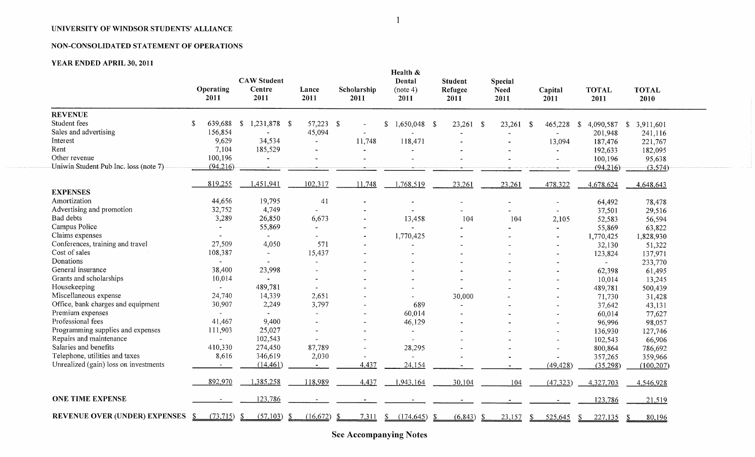### **NON-CONSOLIDATED STATEMENT OF OPERATIONS**

# **YEAR ENDED APRIL 30, 2011**

|                                         | Operating<br>2011 | <b>CAW Student</b><br>Centre<br>2011 | Lance<br>2011         | Scholarship<br>2011      | Health &<br>Dental<br>(note 4)<br>2011           | <b>Student</b><br>Refugee<br>2011 | Special<br><b>Need</b><br>2011 | Capital<br>2011 | <b>TOTAL</b><br>2011 | <b>TOTAL</b><br>2010 |
|-----------------------------------------|-------------------|--------------------------------------|-----------------------|--------------------------|--------------------------------------------------|-----------------------------------|--------------------------------|-----------------|----------------------|----------------------|
| <b>REVENUE</b>                          |                   |                                      |                       |                          |                                                  |                                   |                                |                 |                      |                      |
| Student fees                            | \$<br>639,688     |                                      | 57,223 \$             |                          | $1,650,048$ \$<br>\$                             | 23,261<br>-\$                     | 23,261<br>-\$                  | 465,228         | 4,090,587<br>- \$    | 3,911,601<br>\$      |
| Sales and advertising                   | 156,854           |                                      | 45,094                |                          |                                                  |                                   |                                |                 | 201,948              | 241,116              |
| Interest                                | 9,629             | 34,534                               |                       | 11,748                   | 118,471                                          |                                   |                                | 13,094          | 187,476              | 221,767              |
| Rent                                    | 7,104             | 185,529                              |                       |                          |                                                  |                                   |                                |                 | 192,633              | 182,095              |
| Other revenue                           | 100,196           | $\sim$                               |                       |                          |                                                  |                                   |                                |                 | 100,196              | 95,638               |
| Uniwin Student Pub Inc. loss (note 7)   | (94,216)          |                                      |                       |                          |                                                  |                                   |                                |                 | (94,216)             | (3,574)              |
|                                         | 819,255           | ,451,941                             | 102,317               | 11,748                   | 1,768,519                                        | 23,261                            | 23,261                         | 478,322         | 4,678,624            | 4,648,643            |
| <b>EXPENSES</b>                         |                   |                                      |                       |                          |                                                  |                                   |                                |                 |                      |                      |
| Amortization                            | 44,656            | 19,795                               | 41                    |                          |                                                  |                                   |                                |                 | 64,492               | 78,478               |
| Advertising and promotion               | 32,752            | 4,749                                | $\sim$                |                          |                                                  |                                   |                                |                 | 37,501               | 29,516               |
| Bad debts                               | 3,289             | 26,850                               | 6,673                 |                          | 13,458                                           | 104                               | 104                            | 2,105           | 52,583               | 56,594               |
| Campus Police                           |                   | 55,869                               | $\blacksquare$        | $\blacksquare$           |                                                  |                                   |                                |                 | 55,869               | 63,822               |
| Claims expenses                         |                   |                                      |                       | $\blacksquare$           | 1,770,425                                        |                                   |                                |                 | 1,770,425            | 1,828,930            |
| Conferences, training and travel        | 27,509            | 4,050                                | 571                   |                          |                                                  |                                   |                                |                 | 32,130               | 51,322               |
| Cost of sales                           | 108,387           | $\sim$                               | 15,437                |                          |                                                  |                                   |                                |                 | 123,824              | 137,971              |
| Donations                               | $\sim$            | $\sim$                               | $\blacksquare$        |                          |                                                  |                                   |                                |                 | $\sim$               | 233,770              |
| General insurance                       | 38,400            | 23,998                               |                       |                          |                                                  |                                   |                                |                 | 62,398               | 61,495               |
| Grants and scholarships                 | 10,014            |                                      |                       |                          |                                                  |                                   |                                |                 | 10,014               | 13,245               |
| Housekeeping                            | $\sim$            | 489,781                              |                       |                          |                                                  |                                   |                                |                 | 489,781              | 500,439              |
| Miscellaneous expense                   | 24,740            | 14,339                               | 2,651                 |                          |                                                  | 30,000                            |                                |                 | 71,730               | 31,428               |
| Office, bank charges and equipment      | 30,907            | 2,249                                | 3,797                 |                          | 689                                              |                                   |                                |                 | 37,642               | 43,131               |
| Premium expenses                        |                   | $\sim$                               | $\tilde{\phantom{a}}$ |                          | 60,014                                           |                                   |                                |                 | 60,014               | 77,627               |
| Professional fees                       | 41,467            | 9,400                                |                       | $\overline{\phantom{a}}$ | 46,129                                           |                                   |                                |                 | 96,996               | 98,057               |
| Programming supplies and expenses       | 111,903           | 25,027                               |                       |                          |                                                  |                                   |                                |                 | 136,930              | 127,746              |
| Repairs and maintenance                 |                   | 102,543                              |                       |                          |                                                  |                                   |                                |                 | 102,543              | 66,906               |
| Salaries and benefits                   | 410,330           | 274,450                              | 87,789                | $\blacksquare$           | 28,295                                           |                                   |                                |                 | 800,864              | 786,692              |
| Telephone, utilities and taxes          | 8,616             | 346,619                              | 2,030                 | $\ddot{\phantom{1}}$     |                                                  |                                   |                                | $\sim$          | 357,265              | 359,966              |
| Unrealized (gain) loss on investments   | $\sim$            | (14, 461)                            | $\sim$                | 4,437                    | 24,154                                           |                                   |                                | (49, 428)       | (35, 298)            | (100, 207)           |
|                                         | 892,970           | ,385,258                             | 118,989               | 4,437                    | 1,943,164                                        | 30,104                            | 104                            | (47, 323)       | 4,327,703            | 4,546,928            |
| <b>ONE TIME EXPENSE</b>                 |                   | 123,786                              |                       |                          |                                                  |                                   |                                |                 | 123,786              | 21,519               |
| <b>REVENUE OVER (UNDER) EXPENSES \$</b> | (73, 715)         | (57, 103)<br>S                       | (16,672)              | -S<br>7,311              | $\mathbf{\underline{\mathcal{S}}}$<br>(174, 645) | (6, 843)                          | 23,157                         | 525,645<br>S.   | 227,135<br>-S        | 80,196               |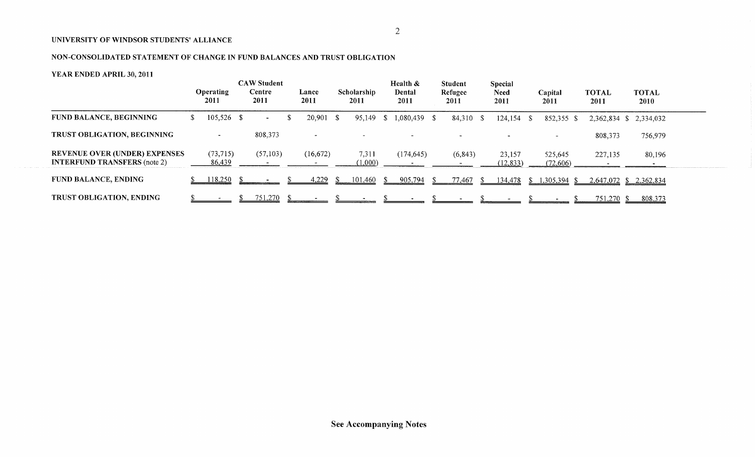## NON-CONSOLIDATED STATEMENT OF CHANGE IN FUND BALANCES AND TRUST OBLIGATION

### YEAR ENDED APRIL 30, 2011

|                                                                             |    |                          | <b>CAW Student</b> |               |     |                     |      | Health &       | Student         | Special             |                         |                        |                      |
|-----------------------------------------------------------------------------|----|--------------------------|--------------------|---------------|-----|---------------------|------|----------------|-----------------|---------------------|-------------------------|------------------------|----------------------|
|                                                                             |    | <b>Operating</b><br>2011 | Centre<br>2011     | Lance<br>2011 |     | Scholarship<br>2011 |      | Dental<br>2011 | Refugee<br>2011 | <b>Need</b><br>2011 | Capital<br>2011         | <b>TOTAL</b><br>2011   | <b>TOTAL</b><br>2010 |
| <b>FUND BALANCE, BEGINNING</b>                                              | S. | $105,526$ \$             | $\sim$             | 20,901        | - S | 95,149              | - \$ | $1,080,439$ \$ | 84,310 \$       | $124, 154$ \$       | $852,355$ \$            | 2,362,834 \$ 2,334,032 |                      |
| TRUST OBLIGATION, BEGINNING                                                 |    | $\overline{\phantom{0}}$ | 808,373            | $\sim$        |     | $\sim$              |      |                | $\sim$          | $\blacksquare$      | $\sim$                  | 808,373                | 756,979              |
| <b>REVENUE OVER (UNDER) EXPENSES</b><br><b>INTERFUND TRANSFERS (note 2)</b> |    | (73, 715)<br>86,439      | (57,103)           | (16,672)      |     | 7,311<br>(1,000)    |      | (174, 645)     | (6, 843)        | 23,157<br>(12, 833) | 525,645<br>(72,606)     | 227,135                | 80,196               |
| <b>FUND BALANCE, ENDING</b>                                                 |    | 18,250                   |                    | 4,229         | -SS | 101,460             | - S  | $905,794$ \$   | 77,467          |                     | 134,478 \$ 1,305,394 \$ | 2,647,072 \$ 2,362,834 |                      |
| <b>TRUST OBLIGATION, ENDING</b>                                             |    |                          | 751,270            |               |     |                     |      |                |                 |                     |                         | 751,270                | 808,373              |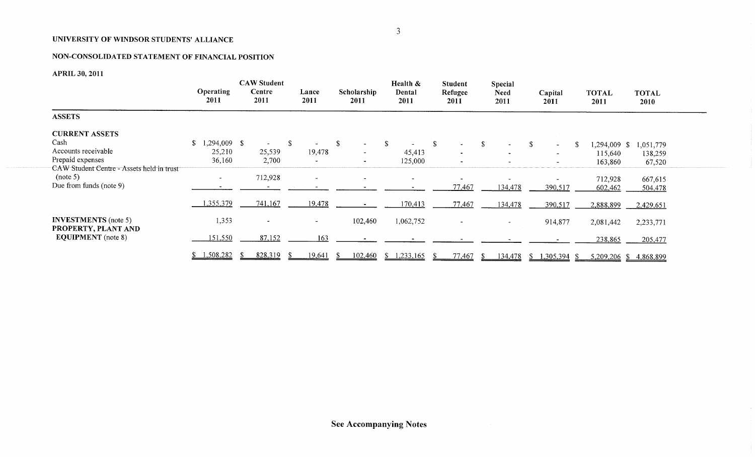### NON-CONSOLIDATED STATEMENT OF FINANCIAL POSITION

**APRIL 30, 2011**

|                                                       | <b>Operating</b><br>2011 | <b>CAW Student</b><br>Centre<br>2011 | Lance<br>2011 | Scholarship<br>2011 | Health $\&$<br>Dental<br>2011 | <b>Student</b><br>Refugee<br>2011 | <b>Special</b><br><b>Need</b><br>2011 | Capital<br>2011          | <b>TOTAL</b><br>2011 | <b>TOTAL</b><br>2010     |
|-------------------------------------------------------|--------------------------|--------------------------------------|---------------|---------------------|-------------------------------|-----------------------------------|---------------------------------------|--------------------------|----------------------|--------------------------|
| <b>ASSETS</b>                                         |                          |                                      |               |                     |                               |                                   |                                       |                          |                      |                          |
| <b>CURRENT ASSETS</b>                                 |                          |                                      |               |                     |                               |                                   |                                       |                          |                      |                          |
| Cash                                                  | $$1,294,009$ \\$         | -S<br>$\sim$ 10 $\pm$                |               | -S<br>$\sim$        | -S                            | -S                                |                                       | \$<br>$\sim$             | 1,294,009 \$<br>-S   | 1,051,779                |
| Accounts receivable                                   | 25,210                   | 25,539                               | 19,478        | $\sim$              | 45,413                        | $\overline{\phantom{0}}$          |                                       | $\overline{\phantom{a}}$ | 115,640              | 138,259                  |
| Prepaid expenses                                      | 36,160                   | 2,700                                |               | $\sim$              | 125,000                       |                                   |                                       | $\overline{\phantom{a}}$ | 163,860              | 67,520                   |
| CAW Student Centre - Assets held in trust<br>(note 5) | $\sim$                   | 712,928                              |               | $\sim$              | $\blacksquare$                |                                   |                                       |                          | 712,928              |                          |
| Due from funds (note 9)                               |                          |                                      |               |                     |                               | 77,467                            | 134,478                               | 390,517                  | 602,462              | 667,615<br>504,478       |
|                                                       | 1,355,379                | 741,167                              | 19,478        |                     | 170,413                       | 77,467                            | 134,478                               | 390,517                  | 2,888,899            | 2,429,651                |
| <b>INVESTMENTS</b> (note 5)<br>PROPERTY, PLANT AND    | 1,353                    | $\blacksquare$                       | $\sim$        | 102,460             | 1,062,752                     |                                   |                                       | 914,877                  | 2,081,442            | 2,233,771                |
| <b>EQUIPMENT</b> (note 8)                             | 151,550                  | 87,152                               | 163           |                     |                               |                                   |                                       |                          | 238,865              | 205,477                  |
|                                                       | \$1,508,282              | 828,319                              | 19,641        | 102,460             | 1,233,165<br>-S               | 77,467                            | 134,478                               | $$1,305,394$ \$          |                      | $5,209,206$ \$ 4,868,899 |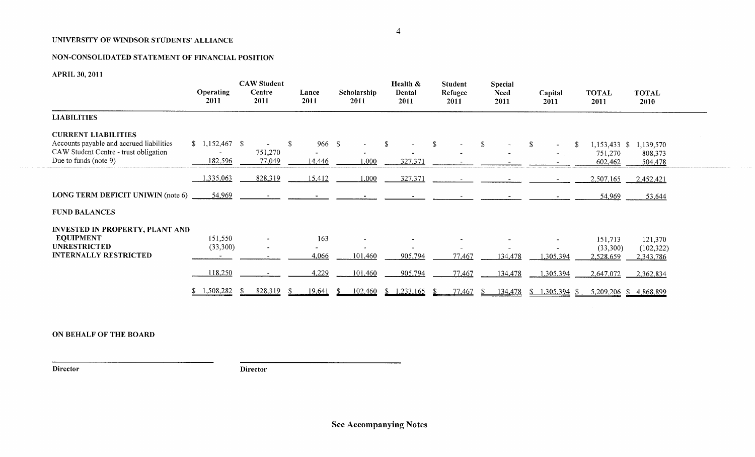### NON-CONSOLIDATED STATEMENT OF FINANCIAL POSITION

**APRIL 30, 2011**

|                                          | Operating<br>2011  | <b>CAW Student</b><br>Centre<br>2011 |    | Lance<br>2011 |     | Scholarship<br>2011 |     | Health &<br>Dental<br>2011 |    | <b>Student</b><br>Refugee<br><b>2011</b> |               | <b>Special</b><br>Need<br>2011 |    | Capital<br>2011           |    | <b>TOTAL</b><br>2011     | <b>TOTAL</b><br>2010 |
|------------------------------------------|--------------------|--------------------------------------|----|---------------|-----|---------------------|-----|----------------------------|----|------------------------------------------|---------------|--------------------------------|----|---------------------------|----|--------------------------|----------------------|
| <b>LIABILITIES</b>                       |                    |                                      |    |               |     |                     |     |                            |    |                                          |               |                                |    |                           |    |                          |                      |
| <b>CURRENT LIABILITIES</b>               |                    |                                      |    |               |     |                     |     |                            |    |                                          |               |                                |    |                           |    |                          |                      |
| Accounts payable and accrued liabilities | $$1,152,467$ \ $$$ | $\sim$                               | -S | 966 \$        |     | $\bullet$           | -\$ |                            | S. |                                          | <sup>\$</sup> |                                | -S | $\sim$                    | -S | 1,153,433 \$             | 1,139,570            |
| CAW Student Centre - trust obligation    |                    | 751,270                              |    |               |     |                     |     |                            |    |                                          |               | $\blacksquare$                 |    | $\sim$                    |    | 751,270                  | 808,373              |
| Due to funds (note 9)                    | 182,596            | 77,049                               |    | 14,446        |     | 1,000               |     | 327,371                    |    |                                          |               |                                |    |                           |    | 602,462                  | 504,478              |
|                                          | <u>1,335,063</u>   | 828,319                              |    | 15,412        |     | 1,000               |     | 327,371                    |    |                                          |               |                                |    |                           |    | 2,507,165                | 2,452,421            |
| LONG TERM DEFICIT UNIWIN (note 6)        | 54,969             |                                      |    |               |     |                     |     |                            |    |                                          |               |                                |    |                           |    | 54,969                   | 53,644               |
| <b>FUND BALANCES</b>                     |                    |                                      |    |               |     |                     |     |                            |    |                                          |               |                                |    |                           |    |                          |                      |
| <b>INVESTED IN PROPERTY, PLANT AND</b>   |                    |                                      |    |               |     |                     |     |                            |    |                                          |               |                                |    |                           |    |                          |                      |
| <b>EQUIPMENT</b>                         | 151,550            | $\sim$                               |    | 163           |     |                     |     |                            |    |                                          |               |                                |    |                           |    | 151,713                  | 121,370              |
| <b>UNRESTRICTED</b>                      | (33,300)           | $\overline{\phantom{a}}$             |    |               |     |                     |     |                            |    |                                          |               |                                |    |                           |    | (33,300)                 | (102, 322)           |
| <b>INTERNALLY RESTRICTED</b>             |                    |                                      |    | 4,066         |     | 101,460             |     | 905,794                    |    | 77,467                                   |               | 134,478                        |    | 1,305,394                 |    | 2,528,659                | 2,343,786            |
|                                          | 118,250            |                                      |    | 4,229         |     | 101,460             |     | 905,794                    |    | 77,467                                   |               | 134,478                        |    | 1,305,394                 |    | 2,647,072                | 2,362,834            |
|                                          | 1,508,282          | 828,319                              |    | 19,641        | XУ. |                     |     | $102,460$ \$ 1,233,165     | -S | 77,467                                   | -S            |                                |    | $134,478$ \$ 1,305,394 \$ |    | $5,209,206$ \$ 4,868,899 |                      |

### **ON BEHALF OF THE BOARD**

**Director Director**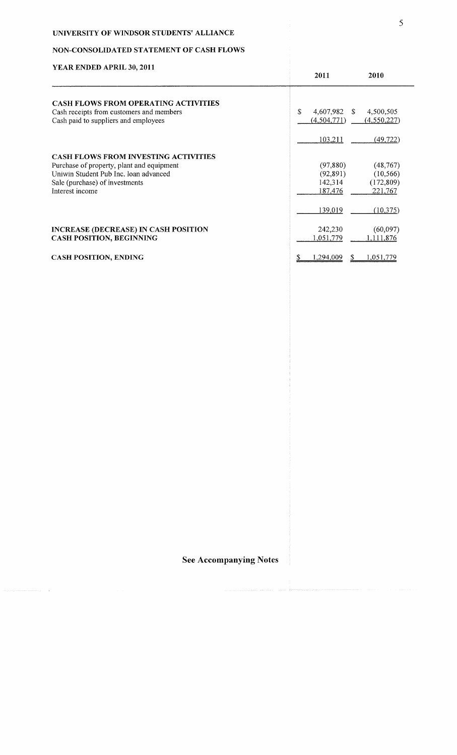# NON-CONSOLIDATED STATEMENT OF CASH FLOWS

| YEAR ENDED APRIL 30, 2011                                                               | 2011                  | 2010        |
|-----------------------------------------------------------------------------------------|-----------------------|-------------|
| <b>CASH FLOWS FROM OPERATING ACTIVITIES</b><br>Cash receipts from customers and members | S<br>4,607,982 \$     | 4,500,505   |
| Cash paid to suppliers and employees                                                    | (4, 504, 771)         | (4,550,227) |
|                                                                                         | 103,211               | (49, 722)   |
| <b>CASH FLOWS FROM INVESTING ACTIVITIES</b>                                             |                       |             |
| Purchase of property, plant and equipment                                               | (97, 880)             | (48, 767)   |
| Uniwin Student Pub Inc. loan advanced                                                   | (92, 891)             | (10, 566)   |
| Sale (purchase) of investments                                                          | 142,314               | (172, 809)  |
| Interest income                                                                         | 187,476               | 221,767     |
|                                                                                         | 139,019               | (10, 375)   |
| <b>INCREASE (DECREASE) IN CASH POSITION</b>                                             | 242,230               | (60,097)    |
| <b>CASH POSITION, BEGINNING</b>                                                         | 1,051,779             | 1,111,876   |
| <b>CASH POSITION, ENDING</b>                                                            | <u>1,294,009</u><br>S | 1,051,779   |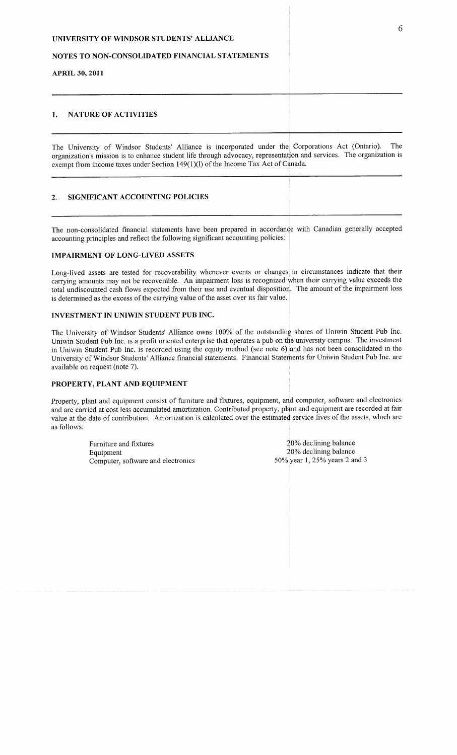#### NOTES TO NON-CONSOLIDATED FINANCIAL STATEMENTS

#### **APRIL 30, 2011**

## 1. NATURE OF ACTIVITIES

The University of Windsor Students' Alliance is incorporated under the Corporations Act (Ontario). The organization's mission is to enhance student life through advocacy, representation and services. The organization is exempt from income taxes under Section 149(1)(1) of the Income Tax Act of Canada.

#### 2. SIGNIFICANT ACCOUNTING POLICIES

The non-consolidated fmancial statements have been prepared in accordance with Canadian generally accepted accounting principles and reflect the following significant accounting policies:

#### IMPAIRMENT OF LONG-LIVED ASSETS

Long-lived assets are tested for recoverability whenever events or changes in circumstances indicate that their carrying amounts may not be recoverable. An impairment loss is recognized when their carrying value exceeds the total undiscounted cash flows expected from their use and eventual disposition. The amount of the impairment loss is determined as the excess of the carrying value of the asset over its fair value.

#### INVESTMENT IN UNIWIN STUDENT PUB INC.

The University of Windsor Students' Alliance owns 100% of the outstanding shares of Uniwin Student Pub Inc. Uniwin Student Pub Inc. is a profit oriented enterprise that operates a pub on the university campus. The investment in Uniwin Student Pub Inc. is recorded using the equity method (see note 6) and has not been consolidated in the University of Windsor Students' Alliance financial statements. Financaal Statements for Uniwin Student Pub Inc. are available on request (note 7).

#### PROPERTY, PLANT AND EQUIPMENT

Property, plant and equipment consist of furniture and fixtures, equipment, and computer, software and electronics and are carried at cost less accumulated amortization. Contributed property, plant and equipment are recorded at fair value at the date of contribution. Amortization is calculated over the estimated service lives of the assets, which are as follows:

> Furniture and fixtures Equipment Computer, software and electromcs

20% declimng balance 20% declining balance 50% year 1, 25% years 2 and 3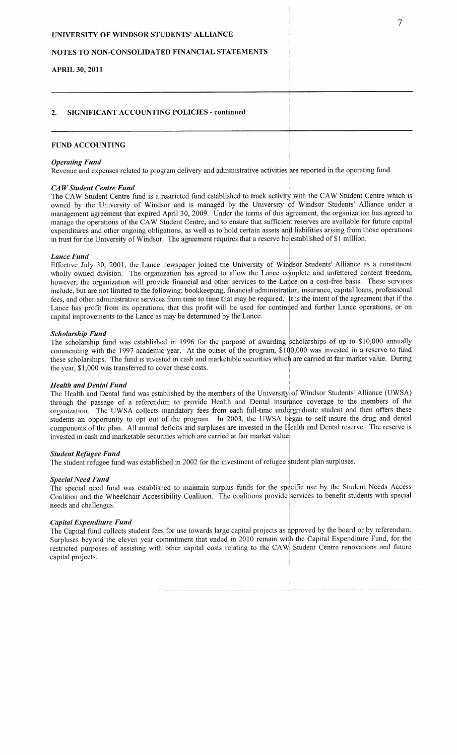## NOTES TO NON-CONSOLIDATED FINANCIAL STATEMENTS

#### **APRIL 30, 2011**

#### 2. SIGNIFICANT ACCOUNTING POLICIES - **continued**

#### FUND ACCOUNTING

#### *Operating Fund*

Revenue and expenses related to program delivery and administrative activities are reported in the operating fund.

#### *CA tV Student Centre Fund*

The CAW Student Centre fund is a restricted fund established to track activity with the CAW Student Centre which is owned by the University of Windsor and is managed by the University of Windsor Students' Alliance under a management agreement that expired April 30, 2009. Under the terms of this agreement, the organization has agreed to manage the operations of the CAW Student Centre, and to ensure that sufficient reserves are available for future capital expenditures and other ongoing obligations, as well as to hold certain assets and liabilities arising from those operations in trust for the University of Windsor. The agreement requires that a reserve be established of \$1 million.

#### *Lance Fund*

Effective July 30, 2001, the Lance newspaper joined the University of Windsor Students' Alliance as a constituent wholly owned division. The organization has agreed to allow the Lance complete and unfettered content freedom, however, the organization will provide financial and other services to the Lance on a cost-free basis. These services include, but are not limited to the following: bookkeeping, financial administration, insurance, caprtal loans, professional fees, and other administrative services from time to time that may be required. It is the intent of the agreement that if the Lance has profit from its operations, that this profit will be used for continued and further Lance operations, or on capital improvements to the Lance as may be determined by the Lance.

#### *Scholarship Fund*

The scholarship fund was established in 1996 for the purpose of awarding scholarships of up to \$10,000 annually commencing with the 1997 academic year. At the outset of the program, \$100,000 was invested in a reserve to fund these scholarships. The fund is invested in cash and marketable securities which are carried at fair market value. During the year,  $$1,000$  was transferred to cover these costs.

#### *Health and Dental Fund ~*

The Health and Dental fund was established by the members of the University of Windsor Students' Alliance (UWSA) through the passage of a referendum to provide Health and Dental insurance coverage to the members of the organization. The UWSA collects mandatory fees from each full-time unddrgraduate student and then offers these students an opportunity to opt out of the program. In 2003, the UWSA began to self-insure the drug and dental components of the plan. All annual deficits and surpluses are invested in the Health and Dental reserve. The reserve is invested in cash and marketable securities which are carried at fair market value

#### *Student Refugee Fund*

The student refugee fund was established in 2002 for the investment of refugee student plan surpluses.

#### *Special Need Fund*

The special need fund was established to maintain surplus funds for the specific use by the Student Needs Access Coalition and the Wheelchair Accessibility Coalition. The coalitions provide services to benefit students with special needs and challenges.

#### *Capital Expenditure Fund*

The Capital fund collects student fees for use towards large capital projects as approved by the board or by referendmn. Surpluses beyond the eleven year commitment that ended in 2010 remain with the Capital Expenditure Fund, for the restricted purposes of assisting with other capital costs relating to the CAW Student Centre renovations and future capital projects.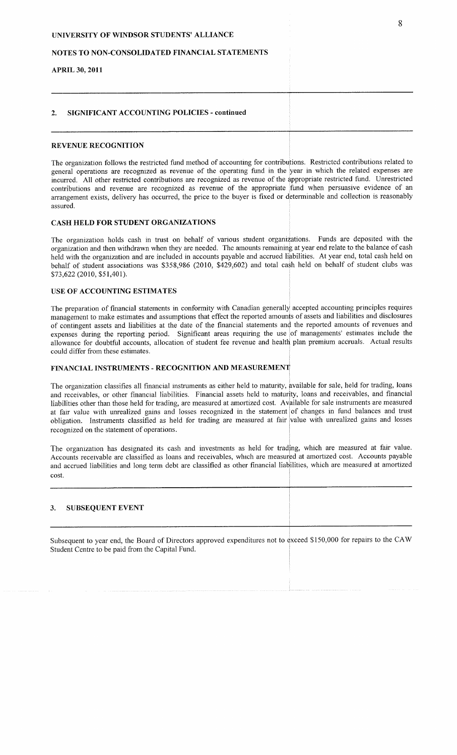#### NOTES TO NON-CONSOLIDATED FINANCIAL STATEMENTS

**APRIL 30, 2011**

#### 2. SIGNIFICANT ACCOUNTING POLICIES - **continued**

#### REVENUE RECOGNITION

The organization follows the restricted fund method of accounting for contributions. Restricted contributions related to general operations are recognized as revenue of the operating fund in the year in which the related expenses are incurred. All other restricted contributions are recognized as revenue of the appropriate restricted fund. Unrestricted contributions and revenue are recognized as revenue of the appropriate fund when persuasive evidence of an arrangement exists, delivery has occurred, the price to the buyer is fixed or determinable and collection is reasonably assared.

#### **CASH HELD FOR STUDENT ORGANIZATIONS**

The organization holds cash in trust on behalf of various student organizations. Funds are deposited with the organization and then withdrawn when they are needed. The amounts remaining at year end relate to the balance of cash held with the organization and are included in accounts payable and accrued liabilities. At year end, total cash held on behalf of student associations was \$358,986 (2010, \$429,602) and total cash held on behalf of student clubs was \$73,622 (2010, \$51,401).

#### USE OF ACCOUNTING ESTIMATES

The preparation of financial statements in conformity with Canadian generally accepted accounting principles requires management to make estimates and assumptions that effect the reported amounts of assets and liabilities and disclosures of contingent assets and liabilities at the date of the financial statements and the reported amounts of revenues and expenses during the reporting period. Significant areas requiring the use of managements' estimates include the allowance for doubtful accounts, allocation of student fee revenue and health plan premium accruals. Actual results could differ from these estimates.

#### FINANCIAL INSTRUMENTS **-** RECOGNITION AND MEASUREMENT

The organization classifies all financial instruments as either held to maturity, available for sale, held for trading, loans and receivables, or other financial liabilities. Financial assets held to maturity, loans and receivables, and financial liabilities other than those held for trading, are measured at amortized cost. Available for sale instruments are measured at fair value with unrealized gains and losses recognized in the statement of changes in fund balances and trust obligation. Instruments classified as held for trading are measured at fair value with unrealized gains and losses recognized on the statement of operations.

The organization has designated its cash and investments as held for trading, which are measured at fair value. Accounts receivable are classified as loans and receivables, which are measured at amortized cost. Accounts payable and accrued liabilities and long term debt are classified as other financial liabilities, which are measured at amortized cost.

#### 3. SUBSEQUENT EVENT

Subsequent to year end, the Board of Directors approved expenditures not to exceed \$150,000 for repairs to the CAW Student Centre to be paid from the Capital Fund.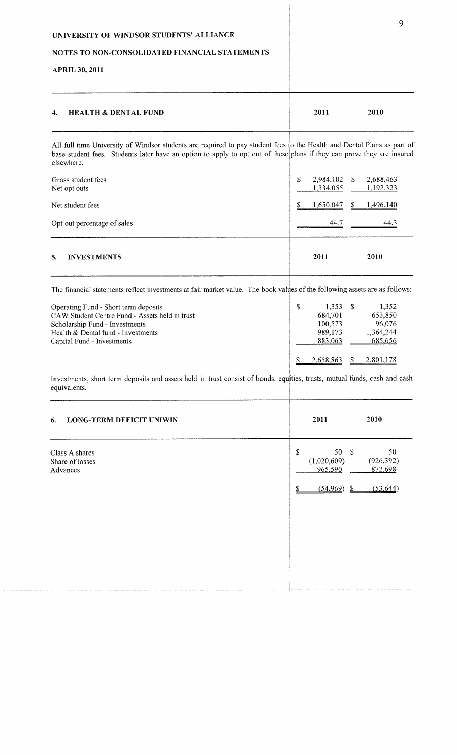#### NOTES TO NON-CONSOLIDATED FINANCIAL STATEMENTS

#### **APRIL 30, 2011**

| 4. | <b>HEALTH &amp; DENTAL FUND</b> | 2010<br>2011 |  |
|----|---------------------------------|--------------|--|
|    |                                 |              |  |

All full time University of Windsor students are required to pay student fees to the Health and Dental Plans as part of base student fees. Students later have an option to apply to opt out of these plans if they can prove they are insured elsewhere.

| Gross student fees<br>Net opt outs | 2,984,102 \$<br>\$<br>1,334,055 | 2,688,463<br>1,192,323 |
|------------------------------------|---------------------------------|------------------------|
| Net student fees                   | 1,650,047                       | S.<br>1,496,140        |
| Opt out percentage of sales        | 44.7                            | 44.3                   |
| <b>INVESTMENTS</b><br>5.           | 2011                            | 2010                   |

The financial statements reflect investments at fair market value. The book values of the following assets are as follows:

| Operating Fund - Short term deposits           | \$<br>1.353 | 1.352     |
|------------------------------------------------|-------------|-----------|
| CAW Student Centre Fund - Assets held in trust | 684,701     | 653,850   |
| Scholarship Fund - Investments                 | 100.573     | 96,076    |
| Health & Dental fund - Investments             | 989,173     | 1,364,244 |
| Capital Fund - Investments                     | 883,063     | 685,656   |
|                                                | 2.658.863   | 2,801,178 |

Investments, short term deposits and assets held in trust consist of bonds, equities, trusts, mutual funds, cash and cash equivalents.

| <b>LONG-TERM DEFICIT UNIWIN</b><br>6.         | 2011                                           | 2010                        |
|-----------------------------------------------|------------------------------------------------|-----------------------------|
| Class A shares<br>Share of losses<br>Advances | $\mathbb S$<br>50 \$<br>(1,020,609)<br>965,590 | 50<br>(926, 392)<br>872,698 |
|                                               | $(54,969)$ \$<br>\$                            | (53, 644)                   |
|                                               |                                                |                             |
|                                               |                                                |                             |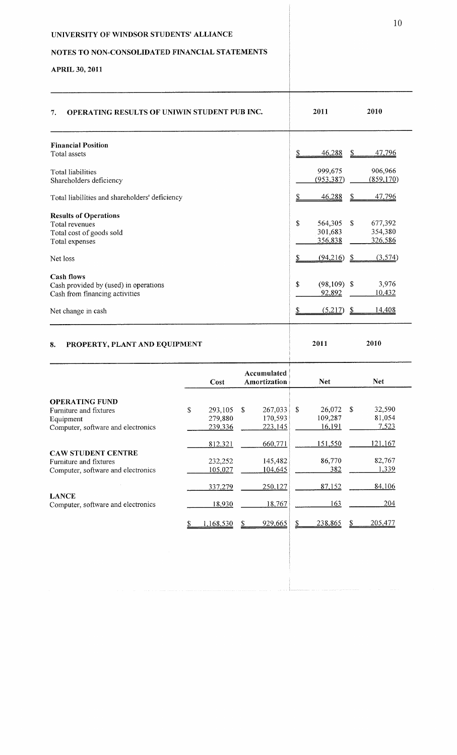# NOTES TO NON-CONSOLIDATED FINANCIAL STATEMENTS

# **APRIL 30, 2011**

| <b>OPERATING RESULTS OF UNIWIN STUDENT PUB INC.</b><br>7.                                                                      |                                     |                                     |                | 2011                                           |                         | 2010                                 |
|--------------------------------------------------------------------------------------------------------------------------------|-------------------------------------|-------------------------------------|----------------|------------------------------------------------|-------------------------|--------------------------------------|
| <b>Financial Position</b><br>Total assets                                                                                      |                                     |                                     |                | 46,288                                         | S                       | <u>47,796</u>                        |
| <b>Total liabilities</b><br>Shareholders deficiency                                                                            |                                     |                                     |                | 999,675<br>(953, 387)                          |                         | 906,966<br>(859, 170)                |
| Total liabilities and shareholders' deficiency                                                                                 |                                     |                                     |                | 46,288                                         | S                       | <u>47,796</u>                        |
| <b>Results of Operations</b><br>Total revenues<br>Total cost of goods sold<br>Total expenses                                   |                                     |                                     | \$             | 564,305<br>301,683<br>356,838                  | \$                      | 677,392<br>354,380<br>326,586        |
| Net loss<br><b>Cash flows</b><br>Cash provided by (used) in operations<br>Cash from financing activities<br>Net change in cash |                                     |                                     | \$<br>\$<br>\$ | (94,216)<br>$(98,109)$ \$<br>92,892<br>(5,217) | \$<br>$\mathbf{\Sigma}$ | (3,574)<br>3,976<br>10,432<br>14,408 |
| PROPERTY, PLANT AND EQUIPMENT<br>8.                                                                                            |                                     |                                     |                | 2011                                           |                         | 2010                                 |
|                                                                                                                                | Cost                                | Accumulated<br>Amortization         |                | <b>Net</b>                                     |                         | <b>Net</b>                           |
| <b>OPERATING FUND</b><br>Furniture and fixtures<br>Equipment<br>Computer, software and electronics                             | \$<br>293,105<br>279,880<br>239,336 | \$<br>267,033<br>170,593<br>223,145 | \$             | 26,072<br>109,287<br>16,191                    | \$                      | 32,590<br>81,054<br><u>7,523</u>     |
| <b>CAW STUDENT CENTRE</b><br>Furniture and fixtures<br>Computer, software and electronics                                      | 812,321<br>232,252<br>105,027       | 660,771<br>145,482<br>104,645       |                | 151,550<br>86,770<br>382                       |                         | 121,167<br>82,767<br>1,339           |
| <b>LANCE</b><br>Computer, software and electronics                                                                             | 337,279<br>18,930                   | 250,127<br>18,767                   |                | 87,152<br>163                                  |                         | 84,106<br>204                        |

1,168,530 \$ 929,665 \$ 238,865 \$ 205,477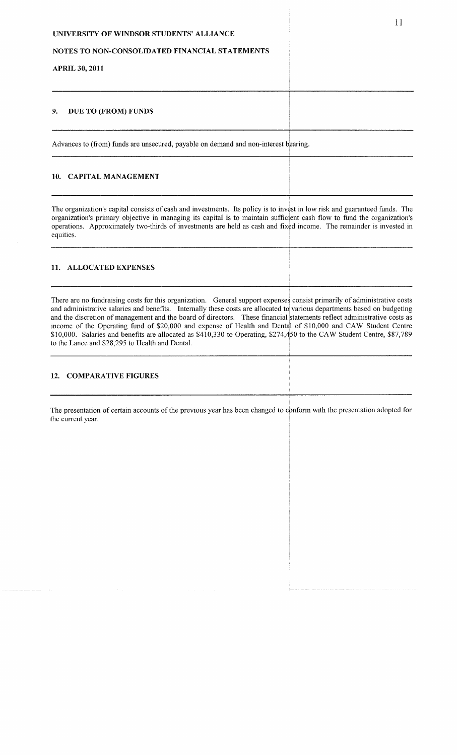## NOTES TO NON-CONSOLIDATED FINANCIAL STATEMENTS

#### APRIL 30, 2011

#### **9. DUE TO (FROM) FUNDS**

Advances to (from) funds are unsecured, payable on demand and non-interest bearing.

#### 10. CAPITAL MANAGEMENT

The organization's capital consists of cash and investments. Its policy is to invest in low risk and guaranteed funds. The organization's primary objective in managing its capital is to maintain sufficient cash flow to fund the organization's operations. Approximately two-thirds of investments are held as cash and fixed income. The remainder is invested in equities.

#### 11. ALLOCATED EXPENSES

There are no fundraising costs for this organization. General support expenses consist primarily of administrative costs and administrative salaries and benefits. Internally these costs are allocated to various departments based on budgeting and the discretion of management and the board of directors. These financial statements reflect administrative costs as income of the Operating fund of \$20,000 and expense of Health and Dental of \$10,000 and CAW Student Centre \$10,000. Salaries and benefits are allocated as \$410,330 to Operating, \$274,450 to the CAW Student Centre, \$87,789 to the Lance and \$28,295 to Health and Dental.

## 12. COMPARATIVE FIGURES

The presentation of certain accounts of the previous year has been changed to conform with the presentation adopted for the current year.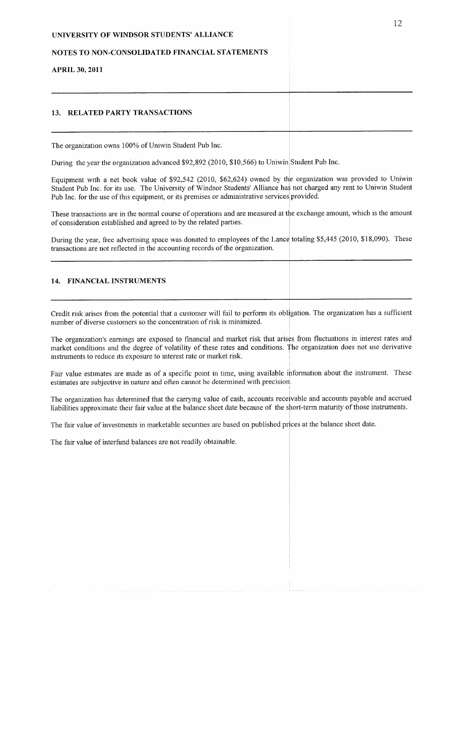#### NOTES TO NON-CONSOLIDATED FINANCIAL STATEMENTS

#### APRIL 30, 2011

#### 13. RELATED PARTY TRANSACTIONS

The organization owns 100% of Uniwin Student Pub Inc.

During the year the organization advanced \$92,892 (2010, \$10,566) to Uniwin Student Pub Inc.

Equipment with a net book value of \$92,542 (2010, \$62,624) owned by the organization was provided to Uniwin Student Pub Inc. for its use. The University of Windsor Students' Alliance has not charged any rent to Uniwin Student Pub Inc. for the use of this equipment, or its premises or administrative services provided.

These transactions are in the normal course of operations and are measured at the exchange amount, which is the amount of consideration established and agreed to by the related parties.

During the year, free advertising space was donated to employees of the Lance totaling \$5,445 (2010, \$18,090). These transactions are not reflected in the accounting records of the organization.

#### 14. FINANCIAL INSTRUMENTS

Credit risk arises from the potential that a customer will fail to perform its obligation. The organization has a sufficient number of diverse customers so the concentration of risk is minimized.

The organization's earnings are exposed to financial and market risk that arises from fluctuations in interest rates and market conditions and the degree of volatility of these rates and conditions. The organization does not use derivative instruments to reduce its exposure to interest rate or market risk.

Fair value estimates are made as of a specific point in time, using available information about the instrument. These estimates are subjective in nature and often cannot be determined with precision'.

The organization has determined that the carrying value of cash, accounts receivable and accounts payable and accrued liabilities approximate their fair value at the balance sheet date because of the short-term maturity of those instruments.

The fair value of investments in marketable securities are based on published prices at the balance sheet date.

The fair value of interfund balances are not readily obtainable.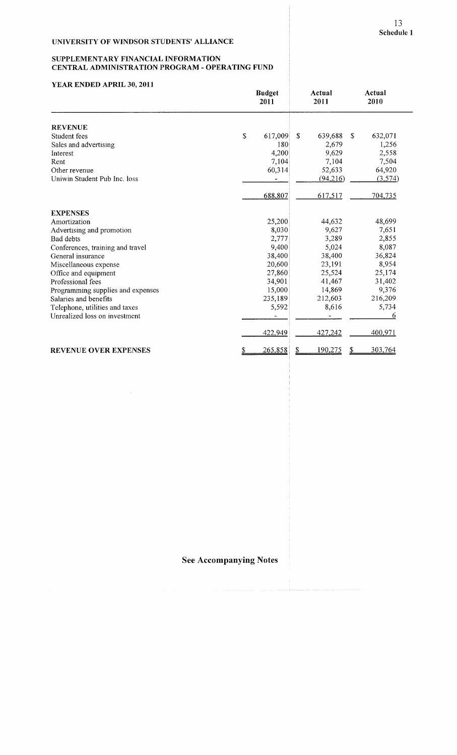$\hat{\boldsymbol{\beta}}$ 

## SUPPLEMENTARY FINANCIAL INFORMATION **CENTRAL ADMINISTRATION PROGRAM - OPERATING FUND**

# **YEAR ENDED APRIL 30, 2011**

|                                   | <b>Budget</b><br>2011 | Actual<br>2011      | Actual<br>2010 |
|-----------------------------------|-----------------------|---------------------|----------------|
| <b>REVENUE</b>                    |                       |                     |                |
| Student fees                      | \$<br>617,009         | \$<br>639,688<br>S. | 632,071        |
| Sales and advertising             | 180                   | 2,679               | 1,256          |
| Interest                          | 4,200                 | 9,629               | 2,558          |
| Rent                              | 7,104                 | 7,104               | 7,504          |
| Other revenue                     | 60,314                | 52,633              | 64,920         |
| Uniwin Student Pub Inc. loss      |                       | (94,216)            | (3,574)        |
|                                   | 688,807               | 617,517             | 704,735        |
| <b>EXPENSES</b>                   |                       |                     |                |
| Amortization                      | 25,200                | 44,632              | 48,699         |
| Advertising and promotion         | 8,030                 | 9,627               | 7,651          |
| Bad debts                         | 2,777                 | 3,289               | 2,855          |
| Conferences, training and travel  | 9,400                 | 5,024               | 8,087          |
| General insurance                 | 38,400                | 38,400              | 36,824         |
| Miscellaneous expense             | 20,600                | 23,191              | 8,954          |
| Office and equipment              | 27,860                | 25,524              | 25,174         |
| Professional fees                 | 34,901                | 41,467              | 31,402         |
| Programming supplies and expenses | 15,000                | 14,869              | 9,376          |
| Salaries and benefits             | 235,189               | 212,603             | 216,209        |
| Telephone, utilities and taxes    | 5,592                 | 8,616               | 5,734          |
| Unrealized loss on investment     |                       |                     | 6              |
|                                   | 422,949               | 427,242             | 400,971        |
| <b>REVENUE OVER EXPENSES</b>      | 265,858<br>↨          | 190,275<br>\$       | 303,764        |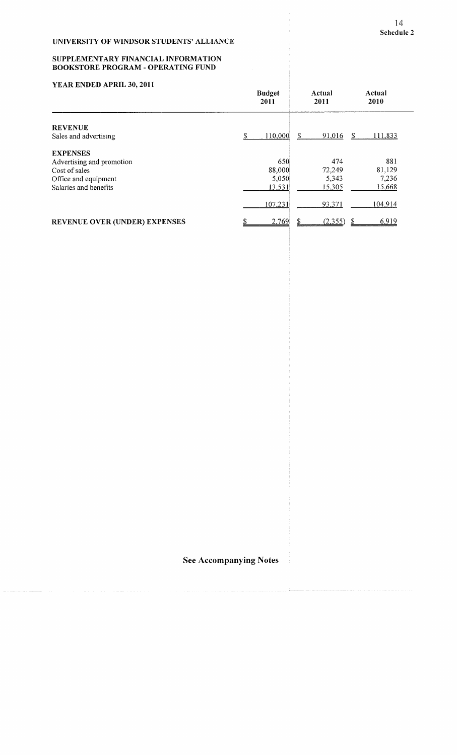#### SUPPLEMENTARY FINANCIAL INFORMATION BOOKSTORE PROGRAM **-** OPERATING FUND

# **YEAR ENDED APRIL 30, 2011**

|                                                                                                                | <b>Budget</b><br>2011            |     | Actual<br>2011                   |    | Actual<br>2010                   |
|----------------------------------------------------------------------------------------------------------------|----------------------------------|-----|----------------------------------|----|----------------------------------|
| <b>REVENUE</b><br>Sales and advertising                                                                        | 110,000                          | \$. | 91,016                           | -S | 111,833                          |
| <b>EXPENSES</b><br>Advertising and promotion<br>Cost of sales<br>Office and equipment<br>Salaries and benefits | 650<br>88,000<br>5,050<br>13,531 |     | 474<br>72,249<br>5,343<br>15,305 |    | 881<br>81,129<br>7,236<br>15,668 |
| REVENUE OVER (UNDER) EXPENSES                                                                                  | 107,231<br>2,769                 |     | 93,371<br>(2,355)                |    | 104,914<br>6,919                 |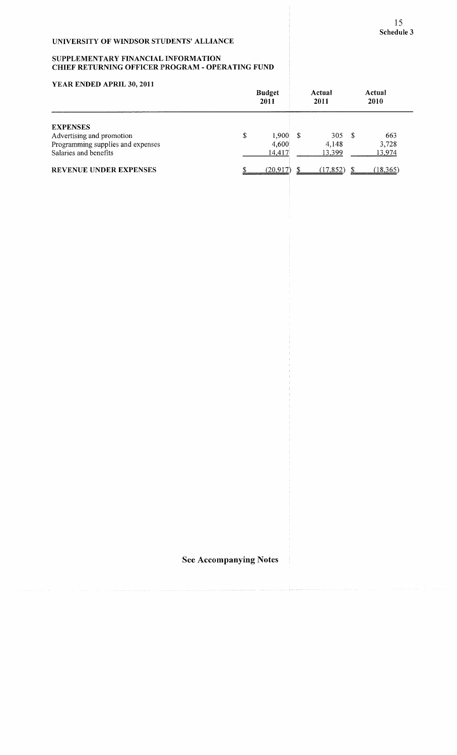# SUPPLEMENTARY FINANCIAL INFORMATION CHIEF RETURNING OFFICER PROGRAM - OPERATING FUND

# YEAR ENDED APRIL 30, 2011

|                                                                                                            | <b>Budget</b><br>2011          |    | Actual<br>2011         |    | Actual<br>2010                |
|------------------------------------------------------------------------------------------------------------|--------------------------------|----|------------------------|----|-------------------------------|
| <b>EXPENSES</b><br>Advertising and promotion<br>Programming supplies and expenses<br>Salaries and benefits | \$<br>1,900<br>4,600<br>14,417 | -S | 305<br>4,148<br>13,399 | -8 | 663<br>3,728<br><u>13,974</u> |
| <b>REVENUE UNDER EXPENSES</b>                                                                              | (20, 917)                      |    | (17, 852)              |    | (18,365)                      |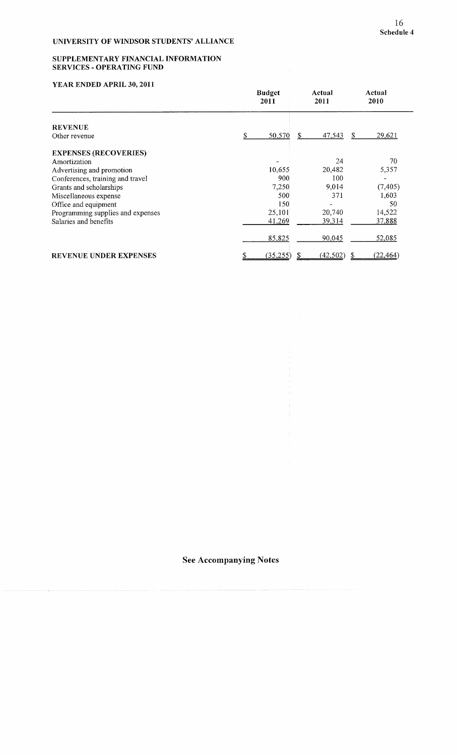#### SUPPLEMENTARY FINANCIAL INFORMATION **SERVICES -** OPERATING FUND

# **YEAR** ENDED APRIL **30, 2011**

|                                   | <b>Budget</b><br>2011 | Actual<br>2011 | Actual<br>2010 |
|-----------------------------------|-----------------------|----------------|----------------|
| <b>REVENUE</b>                    |                       |                |                |
| Other revenue                     | 50,570<br>\$          | 47,543<br>S    | 29,621<br>-S   |
| <b>EXPENSES (RECOVERIES)</b>      |                       |                |                |
| Amortization                      |                       | 24             | 70             |
| Advertising and promotion         | 10,655                | 20,482         | 5,357          |
| Conferences, training and travel  | 900                   | 100            |                |
| Grants and scholarships           | 7,250                 | 9,014          | (7, 405)       |
| Miscellaneous expense             | 500                   | 371            | 1,603          |
| Office and equipment              | 150                   |                | 50             |
| Programming supplies and expenses | 25,101                | 20,740         | 14,522         |
| Salaries and benefits             | 41,269                | 39,314         | 37,888         |
|                                   | 85,825                | 90,045         | 52,085         |
| <b>REVENUE UNDER EXPENSES</b>     | (35,255)              | (42, 502)      | (22, 464)      |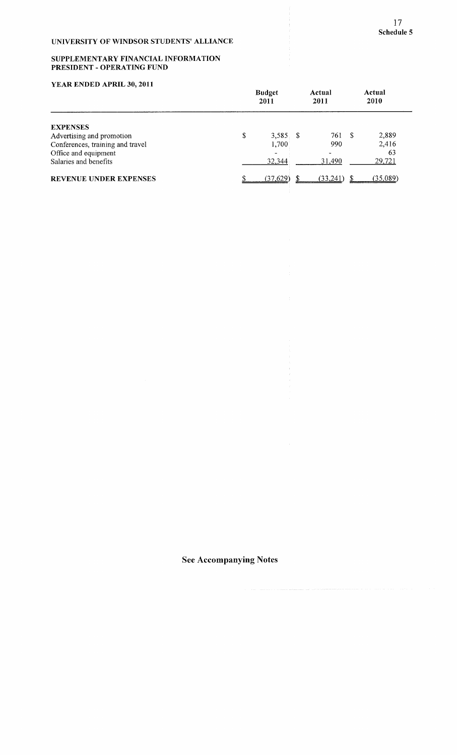## SUPPLEMENTARY FINANCIAL INFORMATION **PRESIDENT - OPERATING FUND**

# YEAR ENDED APRIL **30, 2011**

| TEAR ENDED AT RID 50, 2011       | <b>Budget</b><br>2011 |           | Actual<br>2011 |  | Actual<br>2010 |
|----------------------------------|-----------------------|-----------|----------------|--|----------------|
| <b>EXPENSES</b>                  |                       |           |                |  |                |
| Advertising and promotion        | \$                    | 3,585S    | 761 S<br>990   |  | 2,889          |
| Conferences, training and travel |                       | 1,700     |                |  | 2,416          |
| Office and equipment             |                       |           |                |  | 63             |
| Salaries and benefits            |                       | 32,344    | 31,490         |  | 29,721         |
| <b>REVENUE UNDER EXPENSES</b>    |                       | (37, 629) | (33,241)       |  | (35,089)       |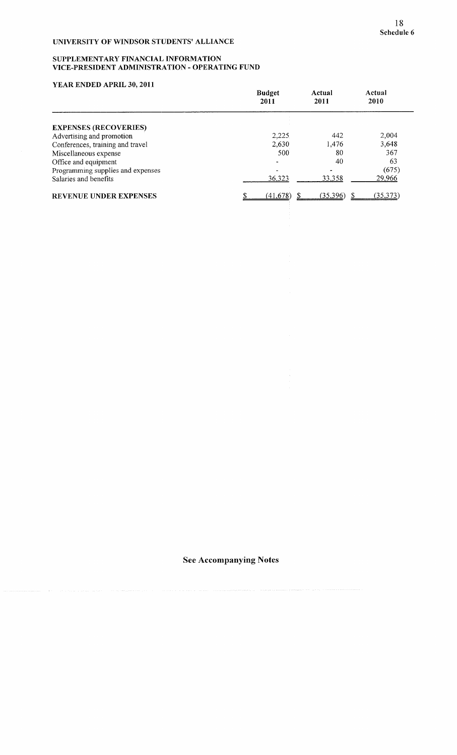#### SUPPLEMENTARY FINANCIAL INFORMATION VICE-PRESIDENT ADMINISTRATION - OPERATING FUND

# YEAR ENDED APRIL 30, 2011

| 1 EAR ERDED AT RID 50, 2011       | <b>Budget</b><br>2011    | Actual<br>2011 | Actual<br>2010 |
|-----------------------------------|--------------------------|----------------|----------------|
| <b>EXPENSES (RECOVERIES)</b>      |                          |                |                |
| Advertising and promotion         | 2,225                    | 442            | 2,004          |
| Conferences, training and travel  | 2,630                    | 1,476          | 3,648          |
| Miscellaneous expense             | 500                      | 80             | 367            |
| Office and equipment              |                          | 40             | 63             |
| Programming supplies and expenses | $\overline{\phantom{a}}$ |                | (675)          |
| Salaries and benefits             | 36,323                   | 33,358         | 29,966         |
| <b>REVENUE UNDER EXPENSES</b>     | (41, 678)                | (35,396)       | (35, 373)      |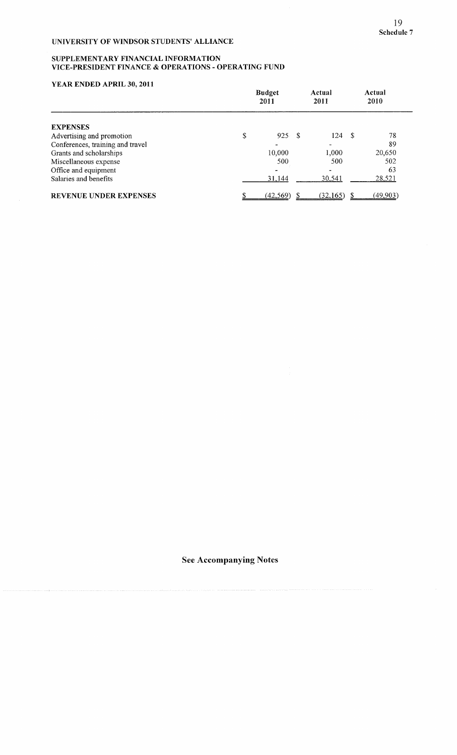## SUPPLEMENTARY FINANCIAL INFORMATION VICE-PRESIDENT FINANCE & OPERATIONS - OPERATING FUND

# YEAR ENDED APRIL **30, 2011**

|                                  | <b>Budget</b><br>2011 |  | Actual<br>2011 |     | Actual<br>2010 |  |
|----------------------------------|-----------------------|--|----------------|-----|----------------|--|
| <b>EXPENSES</b>                  |                       |  |                |     |                |  |
| Advertising and promotion        | \$<br>925 S           |  | 124            | - S | 78             |  |
| Conferences, training and travel |                       |  |                |     | 89             |  |
| Grants and scholarships          | 10.000                |  | 1,000          |     | 20,650         |  |
| Miscellaneous expense            | 500                   |  | 500            |     | 502            |  |
| Office and equipment             |                       |  |                |     | 63             |  |
| Salaries and benefits            | 31,144                |  | 30,541         |     | 28,521         |  |
| <b>REVENUE UNDER EXPENSES</b>    | (42, 569)             |  | (32, 165)      |     | (49, 903)      |  |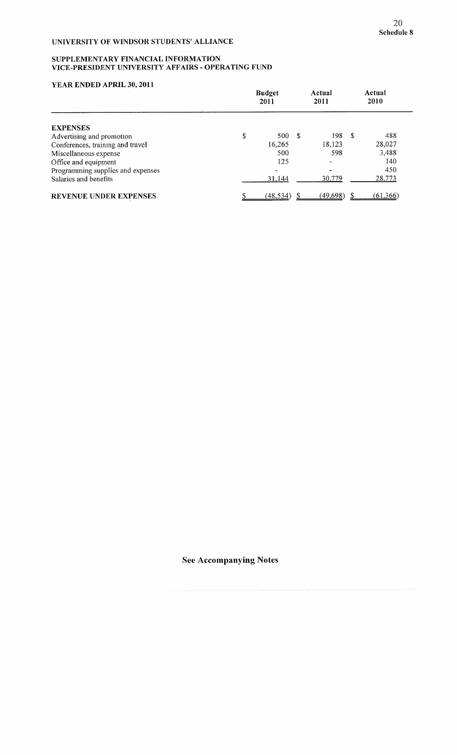#### SUPPLEMENTARY FINANCIAL INFORMATION VICE-PRESIDENT UNIVERSITY AFFAIRS - OPERATING FUND

# YEAR ENDED APRIL **30, 2011**

|                                   | <b>Budget</b><br>2011 |    | Actual<br>2011 |      | Actual<br>2010 |  |
|-----------------------------------|-----------------------|----|----------------|------|----------------|--|
| <b>EXPENSES</b>                   |                       |    |                |      |                |  |
| Advertising and promotion         | \$<br>500 ·           | -8 | 198            | - \$ | 488            |  |
| Conferences, training and travel  | 16,265                |    | 18,123         |      | 28,027         |  |
| Miscellaneous expense             | 500                   |    | 598            |      | 3,488          |  |
| Office and equipment              | 125                   |    | ۰              |      | 140            |  |
| Programming supplies and expenses |                       |    |                |      | 450            |  |
| Salaries and benefits             | 31,144                |    | 30,779         |      | 28,773         |  |
| REVENUE UNDER EXPENSES            | (48, 534)             |    | (49,698)       |      | (61, 366)      |  |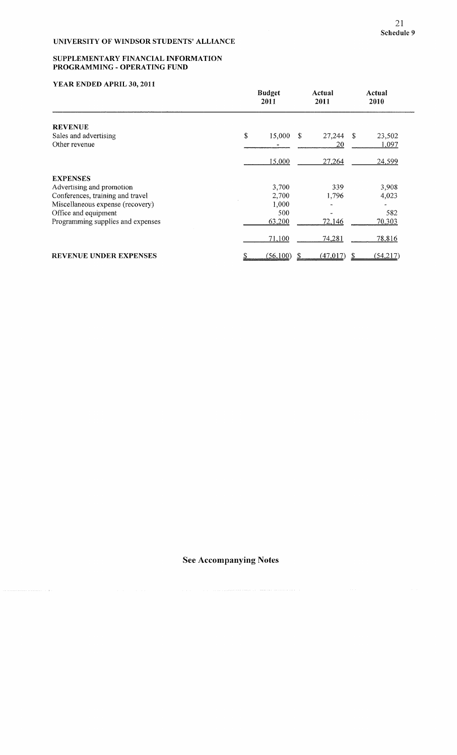#### **SUPPLEMENTARY** FINANCIAL INFORMATION **PROGRAMMING - OPERATING FUND**

# **YEAR ENDED APRIL 30, 2011**

|                                   | <b>Budget</b><br>2011 | Actual<br>2011          | Actual<br>2010 |
|-----------------------------------|-----------------------|-------------------------|----------------|
| <b>REVENUE</b>                    |                       |                         |                |
| Sales and advertising             | \$<br>15,000          | 27,244<br><sup>\$</sup> | -S<br>23,502   |
| Other revenue                     |                       | 20                      | 1,097          |
|                                   | 15,000                | 27,264                  | 24,599         |
| <b>EXPENSES</b>                   |                       |                         |                |
| Advertising and promotion         | 3,700                 | 339                     | 3,908          |
| Conferences, training and travel  | 2,700                 | 1,796                   | 4,023          |
| Miscellaneous expense (recovery)  | 1,000                 |                         |                |
| Office and equipment              | 500                   |                         | 582            |
| Programming supplies and expenses | 63,200                | 72,146                  | 70,303         |
|                                   | 71,100                | 74,281                  | 78,816         |
| <b>REVENUE UNDER EXPENSES</b>     | (56,100)              | (47, 017)               | (54,217)<br>S  |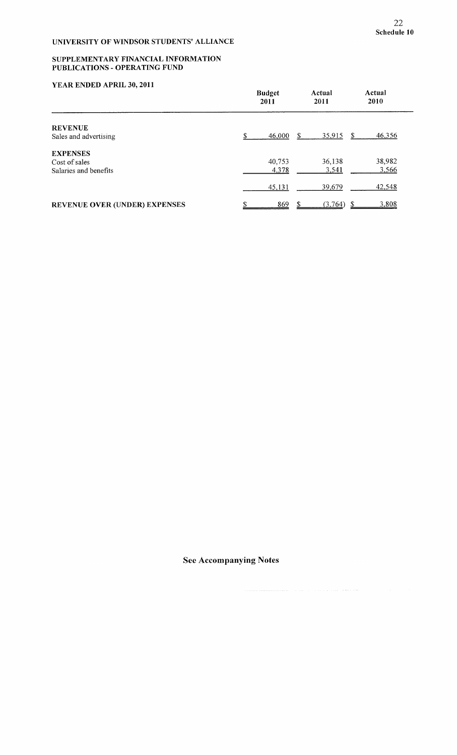#### SUPPLEMENTARY FINANCIAL INFORMATION PUBLICATIONS **-** OPERATING FUND

# YEAR ENDED APRIL 30, 2011

|                                  | <b>Budget</b> | Actual  | Actual     |
|----------------------------------|---------------|---------|------------|
|                                  | 2011          | 2011    | 2010       |
| <b>REVENUE</b>                   | 46,000        | 35,915  | 46,356     |
| Sales and advertising            |               | S.      | S.         |
| <b>EXPENSES</b><br>Cost of sales | 40,753        | 36,138  | 38,982     |
| Salaries and benefits            | 4,378         | 3,541   | 3,566      |
|                                  | 45,131        | 39,679  | 42,548     |
| REVENUE OVER (UNDER) EXPENSES    | 869           | (3,764) | 3,808<br>S |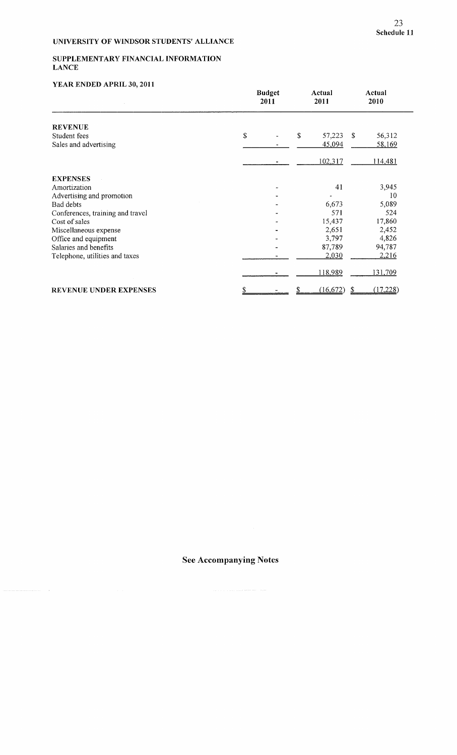## SUPPLEMENTARY FINANCIAL INFORMATION **LANCE**

# **YEAR ENDED APRIL 30, 2011**

|                                  | <b>Budget</b><br>2011 | Actual<br>2011 | Actual<br>2010    |          |
|----------------------------------|-----------------------|----------------|-------------------|----------|
| <b>REVENUE</b>                   |                       |                |                   |          |
| Student fees                     | \$                    | \$<br>57,223   | $\mathbb S$       | 56,312   |
| Sales and advertising            |                       | 45,094         |                   | 58,169   |
|                                  |                       | 102,317        |                   | 114,481  |
| <b>EXPENSES</b>                  |                       |                |                   |          |
| Amortization                     |                       | 41             |                   | 3,945    |
| Advertising and promotion        |                       |                |                   | 10       |
| Bad debts                        |                       | 6,673          |                   | 5,089    |
| Conferences, training and travel |                       | 571            |                   | 524      |
| Cost of sales                    |                       | 15,437         |                   | 17,860   |
| Miscellaneous expense            |                       | 2,651          |                   | 2,452    |
| Office and equipment             |                       | 3,797          |                   | 4,826    |
| Salaries and benefits            |                       | 87,789         |                   | 94,787   |
| Telephone, utilities and taxes   |                       | 2,030          |                   | 2,216    |
|                                  |                       | 118,989        |                   | 131,709  |
| REVENUE UNDER EXPENSES           | \$                    | (16, 672)      | $\mathbf{\Sigma}$ | (17,228) |